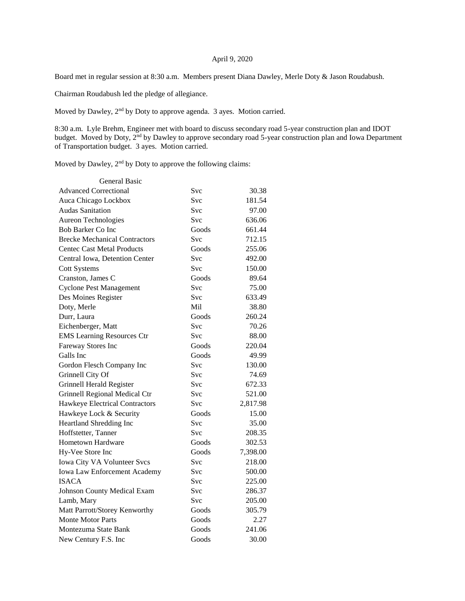## April 9, 2020

Board met in regular session at 8:30 a.m. Members present Diana Dawley, Merle Doty & Jason Roudabush.

Chairman Roudabush led the pledge of allegiance.

Moved by Dawley, 2nd by Doty to approve agenda. 3 ayes. Motion carried.

8:30 a.m. Lyle Brehm, Engineer met with board to discuss secondary road 5-year construction plan and IDOT budget. Moved by Doty, 2<sup>nd</sup> by Dawley to approve secondary road 5-year construction plan and Iowa Department of Transportation budget. 3 ayes. Motion carried.

Moved by Dawley, 2<sup>nd</sup> by Doty to approve the following claims:

| <b>General Basic</b>                 |            |          |
|--------------------------------------|------------|----------|
| <b>Advanced Correctional</b>         | Svc        | 30.38    |
| Auca Chicago Lockbox                 | <b>Svc</b> | 181.54   |
| <b>Audas Sanitation</b>              | Svc        | 97.00    |
| Aureon Technologies                  | <b>Svc</b> | 636.06   |
| Bob Barker Co Inc                    | Goods      | 661.44   |
| <b>Brecke Mechanical Contractors</b> | Svc        | 712.15   |
| <b>Centec Cast Metal Products</b>    | Goods      | 255.06   |
| Central Iowa, Detention Center       | Svc        | 492.00   |
| <b>Cott Systems</b>                  | Svc        | 150.00   |
| Cranston, James C                    | Goods      | 89.64    |
| <b>Cyclone Pest Management</b>       | Svc        | 75.00    |
| Des Moines Register                  | Svc        | 633.49   |
| Doty, Merle                          | Mil        | 38.80    |
| Durr, Laura                          | Goods      | 260.24   |
| Eichenberger, Matt                   | Svc        | 70.26    |
| <b>EMS</b> Learning Resources Ctr    | Svc        | 88.00    |
| Fareway Stores Inc                   | Goods      | 220.04   |
| Galls Inc                            | Goods      | 49.99    |
| Gordon Flesch Company Inc            | Svc        | 130.00   |
| Grinnell City Of                     | <b>Svc</b> | 74.69    |
| Grinnell Herald Register             | Svc        | 672.33   |
| Grinnell Regional Medical Ctr        | <b>Svc</b> | 521.00   |
| Hawkeye Electrical Contractors       | Svc        | 2,817.98 |
| Hawkeye Lock & Security              | Goods      | 15.00    |
| Heartland Shredding Inc              | <b>Svc</b> | 35.00    |
| Hoffstetter, Tanner                  | Svc        | 208.35   |
| Hometown Hardware                    | Goods      | 302.53   |
| Hy-Vee Store Inc                     | Goods      | 7,398.00 |
| Iowa City VA Volunteer Svcs          | Svc        | 218.00   |
| Iowa Law Enforcement Academy         | Svc        | 500.00   |
| <b>ISACA</b>                         | Svc        | 225.00   |
| Johnson County Medical Exam          | Svc        | 286.37   |
| Lamb, Mary                           | Svc        | 205.00   |
| Matt Parrott/Storey Kenworthy        | Goods      | 305.79   |
| <b>Monte Motor Parts</b>             | Goods      | 2.27     |
| Montezuma State Bank                 | Goods      | 241.06   |
| New Century F.S. Inc                 | Goods      | 30.00    |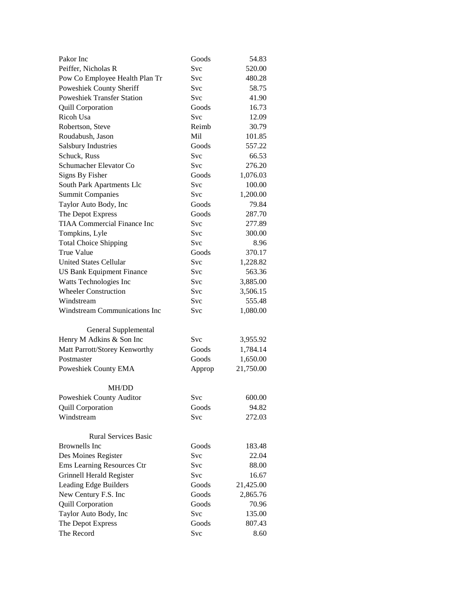| Pakor Inc                            | Goods      | 54.83     |
|--------------------------------------|------------|-----------|
| Peiffer, Nicholas R                  | Svc        | 520.00    |
| Pow Co Employee Health Plan Tr       | Svc        | 480.28    |
| Poweshiek County Sheriff             | Svc        | 58.75     |
| <b>Poweshiek Transfer Station</b>    | Svc        | 41.90     |
| <b>Quill Corporation</b>             | Goods      | 16.73     |
| Ricoh Usa                            | Svc        | 12.09     |
| Robertson, Steve                     | Reimb      | 30.79     |
| Roudabush, Jason                     | Mil        | 101.85    |
| <b>Salsbury Industries</b>           | Goods      | 557.22    |
| Schuck, Russ                         | Svc        | 66.53     |
| Schumacher Elevator Co               | Svc        | 276.20    |
| Signs By Fisher                      | Goods      | 1,076.03  |
| South Park Apartments Llc            | <b>Svc</b> | 100.00    |
| <b>Summit Companies</b>              | Svc        | 1,200.00  |
| Taylor Auto Body, Inc                | Goods      | 79.84     |
| The Depot Express                    | Goods      | 287.70    |
| <b>TIAA Commercial Finance Inc</b>   | Svc        | 277.89    |
| Tompkins, Lyle                       | <b>Svc</b> | 300.00    |
| <b>Total Choice Shipping</b>         | Svc        | 8.96      |
| <b>True Value</b>                    | Goods      | 370.17    |
| <b>United States Cellular</b>        | Svc        | 1,228.82  |
| <b>US Bank Equipment Finance</b>     | Svc        | 563.36    |
| Watts Technologies Inc               | Svc        | 3,885.00  |
| <b>Wheeler Construction</b>          | <b>Svc</b> | 3,506.15  |
| Windstream                           | Svc        | 555.48    |
| <b>Windstream Communications Inc</b> | Svc        | 1,080.00  |
| General Supplemental                 |            |           |
| Henry M Adkins & Son Inc             | Svc        | 3,955.92  |
| Matt Parrott/Storey Kenworthy        | Goods      | 1,784.14  |
| Postmaster                           | Goods      | 1,650.00  |
| Poweshiek County EMA                 | Approp     | 21,750.00 |
| <b>MH/DD</b>                         |            |           |
| Poweshiek County Auditor             | Svc        | 600.00    |
| <b>Quill Corporation</b>             | Goods      | 94.82     |
| Windstream                           | Svc        | 272.03    |
| <b>Rural Services Basic</b>          |            |           |
| <b>Brownells</b> Inc                 | Goods      | 183.48    |
| Des Moines Register                  | Svc        | 22.04     |
| Ems Learning Resources Ctr           | <b>Svc</b> | 88.00     |
| Grinnell Herald Register             | Svc        | 16.67     |
| Leading Edge Builders                | Goods      | 21,425.00 |
| New Century F.S. Inc                 | Goods      | 2,865.76  |
| <b>Quill Corporation</b>             | Goods      | 70.96     |
| Taylor Auto Body, Inc                | Svc        | 135.00    |
| The Depot Express                    | Goods      | 807.43    |
| The Record                           | Svc        | 8.60      |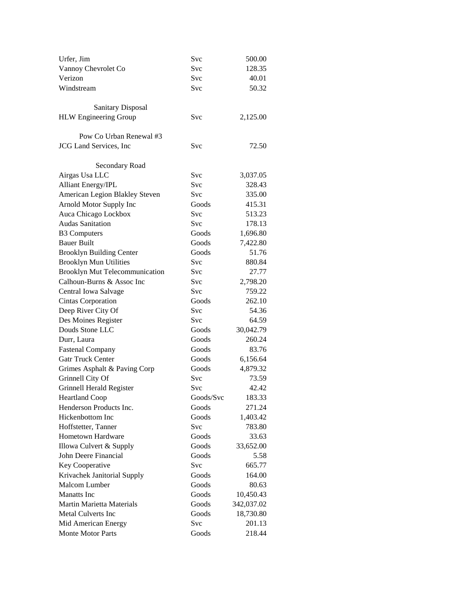| Urfer, Jim                            | Svc        | 500.00     |
|---------------------------------------|------------|------------|
| Vannoy Chevrolet Co                   | Svc        | 128.35     |
| Verizon                               | Svc        | 40.01      |
| Windstream                            | Svc        | 50.32      |
|                                       |            |            |
| <b>Sanitary Disposal</b>              |            |            |
| <b>HLW</b> Engineering Group          | Svc        | 2,125.00   |
|                                       |            |            |
| Pow Co Urban Renewal #3               |            |            |
| <b>JCG</b> Land Services, Inc         | Svc        | 72.50      |
|                                       |            |            |
| Secondary Road                        |            |            |
| Airgas Usa LLC                        | <b>Svc</b> | 3,037.05   |
| <b>Alliant Energy/IPL</b>             | Svc        | 328.43     |
| American Legion Blakley Steven        | Svc        | 335.00     |
| Arnold Motor Supply Inc               | Goods      | 415.31     |
| Auca Chicago Lockbox                  | Svc        | 513.23     |
| <b>Audas Sanitation</b>               | Svc        | 178.13     |
| <b>B3</b> Computers                   | Goods      | 1,696.80   |
| <b>Bauer Built</b>                    | Goods      | 7,422.80   |
| <b>Brooklyn Building Center</b>       | Goods      | 51.76      |
| <b>Brooklyn Mun Utilities</b>         | Svc        | 880.84     |
| <b>Brooklyn Mut Telecommunication</b> | Svc        | 27.77      |
| Calhoun-Burns & Assoc Inc             | <b>Svc</b> | 2,798.20   |
| Central Iowa Salvage                  | Svc        | 759.22     |
| Cintas Corporation                    | Goods      | 262.10     |
| Deep River City Of                    | Svc        | 54.36      |
| Des Moines Register                   | <b>Svc</b> | 64.59      |
| Douds Stone LLC                       | Goods      | 30,042.79  |
| Durr, Laura                           | Goods      | 260.24     |
| <b>Fastenal Company</b>               | Goods      | 83.76      |
| <b>Gatr Truck Center</b>              | Goods      | 6,156.64   |
| Grimes Asphalt & Paving Corp          | Goods      | 4,879.32   |
| Grinnell City Of                      | <b>Svc</b> | 73.59      |
| Grinnell Herald Register              | Svc        | 42.42      |
| <b>Heartland Coop</b>                 | Goods/Svc  | 183.33     |
| Henderson Products Inc.               | Goods      | 271.24     |
| Hickenbottom Inc                      | Goods      | 1,403.42   |
| Hoffstetter, Tanner                   | Svc        | 783.80     |
| Hometown Hardware                     | Goods      | 33.63      |
| Illowa Culvert & Supply               | Goods      | 33,652.00  |
| John Deere Financial                  | Goods      | 5.58       |
| Key Cooperative                       | Svc        | 665.77     |
| Krivachek Janitorial Supply           | Goods      | 164.00     |
| Malcom Lumber                         | Goods      | 80.63      |
| <b>Manatts</b> Inc                    | Goods      | 10,450.43  |
| Martin Marietta Materials             | Goods      | 342,037.02 |
| <b>Metal Culverts Inc</b>             | Goods      | 18,730.80  |
| Mid American Energy                   | Svc        | 201.13     |
| Monte Motor Parts                     | Goods      | 218.44     |
|                                       |            |            |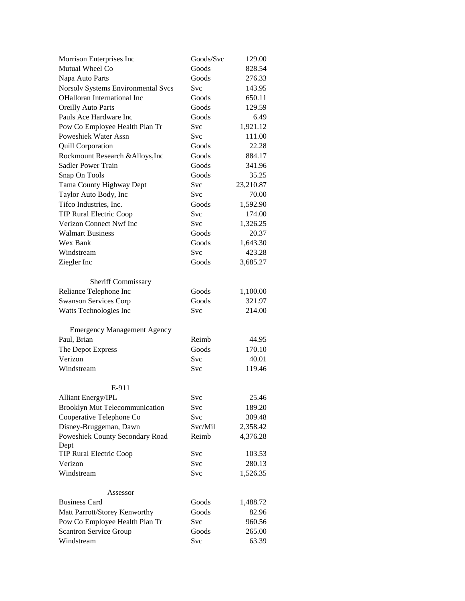| Morrison Enterprises Inc           | Goods/Svc | 129.00    |
|------------------------------------|-----------|-----------|
| Mutual Wheel Co                    | Goods     | 828.54    |
| Napa Auto Parts                    | Goods     | 276.33    |
| Norsolv Systems Environmental Svcs | Svc       | 143.95    |
| OHalloran International Inc        | Goods     | 650.11    |
| <b>Oreilly Auto Parts</b>          | Goods     | 129.59    |
| Pauls Ace Hardware Inc             | Goods     | 6.49      |
| Pow Co Employee Health Plan Tr     | Svc       | 1,921.12  |
| <b>Poweshiek Water Assn</b>        | Svc       | 111.00    |
| <b>Quill Corporation</b>           | Goods     | 22.28     |
| Rockmount Research & Alloys, Inc   | Goods     | 884.17    |
| Sadler Power Train                 | Goods     | 341.96    |
| Snap On Tools                      | Goods     | 35.25     |
| Tama County Highway Dept           | Svc       | 23,210.87 |
| Taylor Auto Body, Inc              | Svc       | 70.00     |
| Tifco Industries, Inc.             | Goods     | 1,592.90  |
| <b>TIP Rural Electric Coop</b>     | Svc       | 174.00    |
| Verizon Connect Nwf Inc            | Svc       | 1,326.25  |
| <b>Walmart Business</b>            | Goods     | 20.37     |
| Wex Bank                           | Goods     | 1,643.30  |
| Windstream                         | Svc       | 423.28    |
| Ziegler Inc                        | Goods     | 3,685.27  |
|                                    |           |           |
| <b>Sheriff Commissary</b>          |           |           |
| Reliance Telephone Inc             | Goods     | 1,100.00  |
| <b>Swanson Services Corp</b>       | Goods     | 321.97    |
| Watts Technologies Inc             | Svc       | 214.00    |
|                                    |           |           |
| <b>Emergency Management Agency</b> |           |           |
| Paul, Brian                        | Reimb     | 44.95     |
| The Depot Express                  | Goods     | 170.10    |
| Verizon                            | Svc       | 40.01     |
| Windstream                         | Svc       | 119.46    |
|                                    |           |           |
| E-911                              |           |           |
| Alliant Energy/IPL                 | Svc       | 25.46     |
| Brooklyn Mut Telecommunication     | Svc       | 189.20    |
| Cooperative Telephone Co           | Svc       | 309.48    |
| Disney-Bruggeman, Dawn             | Svc/Mil   | 2,358.42  |
| Poweshiek County Secondary Road    | Reimb     | 4,376.28  |
| Dept                               |           |           |
| <b>TIP Rural Electric Coop</b>     | Svc       | 103.53    |
| Verizon                            | Svc       | 280.13    |
| Windstream                         | Svc       | 1,526.35  |
|                                    |           |           |
| Assessor                           |           |           |
| <b>Business Card</b>               | Goods     | 1,488.72  |
| Matt Parrott/Storey Kenworthy      | Goods     | 82.96     |
| Pow Co Employee Health Plan Tr     | Svc       | 960.56    |
| <b>Scantron Service Group</b>      | Goods     | 265.00    |
| Windstream                         | Svc       | 63.39     |